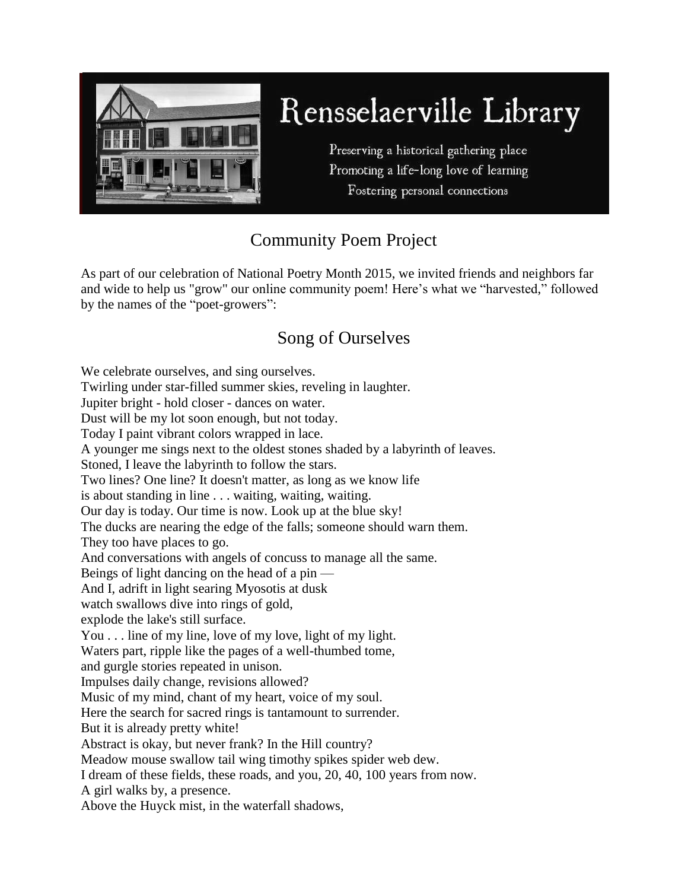

## Rensselaerville Library

Preserving a historical gathering place Promoting a life-long love of learning Fostering personal connections

## Community Poem Project

As part of our celebration of National Poetry Month 2015, we invited friends and neighbors far and wide to help us "grow" our online community poem! Here's what we "harvested," followed by the names of the "poet-growers":

## Song of Ourselves

We celebrate ourselves, and sing ourselves. Twirling under star-filled summer skies, reveling in laughter. Jupiter bright - hold closer - dances on water. Dust will be my lot soon enough, but not today. Today I paint vibrant colors wrapped in lace. A younger me sings next to the oldest stones shaded by a labyrinth of leaves. Stoned, I leave the labyrinth to follow the stars. Two lines? One line? It doesn't matter, as long as we know life is about standing in line . . . waiting, waiting, waiting. Our day is today. Our time is now. Look up at the blue sky! The ducks are nearing the edge of the falls; someone should warn them. They too have places to go. And conversations with angels of concuss to manage all the same. Beings of light dancing on the head of a pin — And I, adrift in light searing Myosotis at dusk watch swallows dive into rings of gold, explode the lake's still surface. You . . . line of my line, love of my love, light of my light. Waters part, ripple like the pages of a well-thumbed tome, and gurgle stories repeated in unison. Impulses daily change, revisions allowed? Music of my mind, chant of my heart, voice of my soul. Here the search for sacred rings is tantamount to surrender. But it is already pretty white! Abstract is okay, but never frank? In the Hill country? Meadow mouse swallow tail wing timothy spikes spider web dew. I dream of these fields, these roads, and you, 20, 40, 100 years from now. A girl walks by, a presence. Above the Huyck mist, in the waterfall shadows,